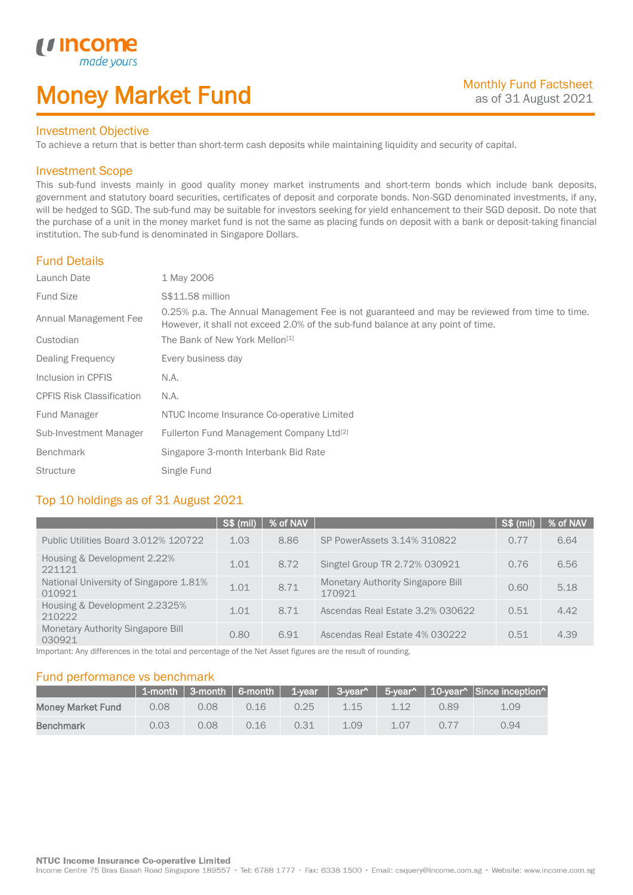# Money Market Fund

### Investment Objective

made yo

*u* incom

I

To achieve a return that is better than short-term cash deposits while maintaining liquidity and security of capital.

### Investment Scope

This sub-fund invests mainly in good quality money market instruments and short-term bonds which include bank deposits, government and statutory board securities, certificates of deposit and corporate bonds. Non-SGD denominated investments, if any, will be hedged to SGD. The sub-fund may be suitable for investors seeking for yield enhancement to their SGD deposit. Do note that the purchase of a unit in the money market fund is not the same as placing funds on deposit with a bank or deposit-taking financial institution. The sub-fund is denominated in Singapore Dollars.

### Fund Details

| Launch Date                      | 1 May 2006                                                                                                                                                                       |
|----------------------------------|----------------------------------------------------------------------------------------------------------------------------------------------------------------------------------|
| <b>Fund Size</b>                 | S\$11.58 million                                                                                                                                                                 |
| Annual Management Fee            | 0.25% p.a. The Annual Management Fee is not guaranteed and may be reviewed from time to time.<br>However, it shall not exceed 2.0% of the sub-fund balance at any point of time. |
| Custodian                        | The Bank of New York Mellon <sup>[1]</sup>                                                                                                                                       |
| Dealing Frequency                | Every business day                                                                                                                                                               |
| Inclusion in CPFIS               | N.A.                                                                                                                                                                             |
| <b>CPFIS Risk Classification</b> | N.A.                                                                                                                                                                             |
| Fund Manager                     | NTUC Income Insurance Co-operative Limited                                                                                                                                       |
| Sub-Investment Manager           | Fullerton Fund Management Company Ltd <sup>[2]</sup>                                                                                                                             |
| <b>Benchmark</b>                 | Singapore 3-month Interbank Bid Rate                                                                                                                                             |
| <b>Structure</b>                 | Single Fund                                                                                                                                                                      |

### Top 10 holdings as of 31 August 2021

|                                                    | SS(mil) | % of NAV |                                                    | S\$ (mil) | % of NAV |
|----------------------------------------------------|---------|----------|----------------------------------------------------|-----------|----------|
| Public Utilities Board 3.012% 120722               | 1.03    | 8.86     | SP PowerAssets 3.14% 310822                        | 0.77      | 6.64     |
| Housing & Development 2.22%<br>221121              | 1.01    | 8.72     | Singtel Group TR 2.72% 030921                      | 0.76      | 6.56     |
| National University of Singapore 1.81%<br>010921   | 1.01    | 8.71     | <b>Monetary Authority Singapore Bill</b><br>170921 | 0.60      | 5.18     |
| Housing & Development 2.2325%<br>210222            | 1.01    | 8.71     | Ascendas Real Estate 3.2% 030622                   | 0.51      | 4.42     |
| <b>Monetary Authority Singapore Bill</b><br>030921 | 0.80    | 6.91     | Ascendas Real Estate 4% 030222                     | 0.51      | 4.39     |

Important: Any differences in the total and percentage of the Net Asset figures are the result of rounding.

### Fund performance vs benchmark

|                          |      |      |      |      |      |      |      | 1-month 3-month 6-month 1-year 3-year^ 5-year^ 10-year^ Since inception |
|--------------------------|------|------|------|------|------|------|------|-------------------------------------------------------------------------|
| <b>Money Market Fund</b> | 0.08 | 0.08 | 0.16 | 0.25 | 1.15 |      | 0.89 | 1.09                                                                    |
| <b>Benchmark</b>         | 0.03 | 0.08 | 0.16 | 0.31 | 1.09 | 1.07 | 0.77 | 0.94                                                                    |